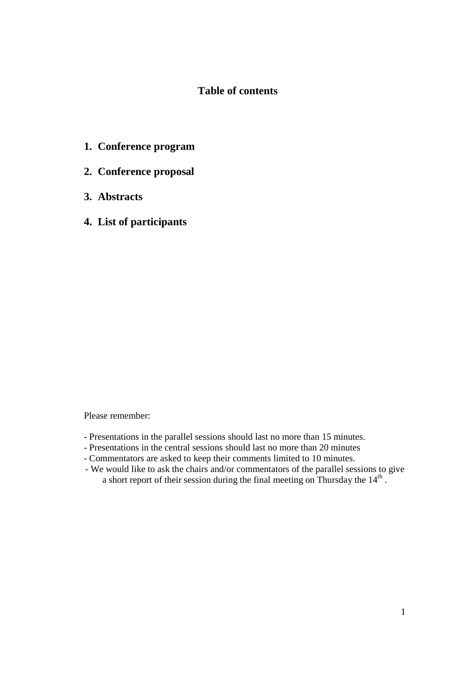# **Table of contents**

- **1. Conference program**
- **2. Conference proposal**
- **3. Abstracts**
- **4. List of participants**

Please remember:

- Presentations in the parallel sessions should last no more than 15 minutes.
- Presentations in the central sessions should last no more than 20 minutes
- Commentators are asked to keep their comments limited to 10 minutes.
- We would like to ask the chairs and/or commentators of the parallel sessions to give a short report of their session during the final meeting on Thursday the  $14<sup>th</sup>$ .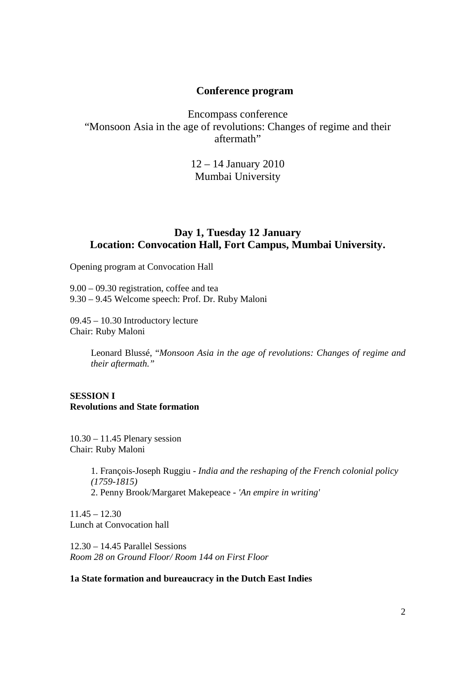# **Conference program**

Encompass conference "Monsoon Asia in the age of revolutions: Changes of regime and their aftermath"

> 12 – 14 January 2010 Mumbai University

# **Day 1, Tuesday 12 January Location: Convocation Hall, Fort Campus, Mumbai University.**

Opening program at Convocation Hall

9.00 – 09.30 registration, coffee and tea 9.30 – 9.45 Welcome speech: Prof. Dr. Ruby Maloni

09.45 – 10.30 Introductory lecture Chair: Ruby Maloni

> Leonard Blussé, "*Monsoon Asia in the age of revolutions: Changes of regime and their aftermath."*

**SESSION I Revolutions and State formation** 

10.30 – 11.45 Plenary session Chair: Ruby Maloni

> 1. François-Joseph Ruggiu - *India and the reshaping of the French colonial policy (1759-1815)* 2. Penny Brook/Margaret Makepeace - *'An empire in writing'*

 $11.45 - 12.30$ Lunch at Convocation hall

12.30 – 14.45 Parallel Sessions *Room 28 on Ground Floor/ Room 144 on First Floor* 

#### **1a State formation and bureaucracy in the Dutch East Indies**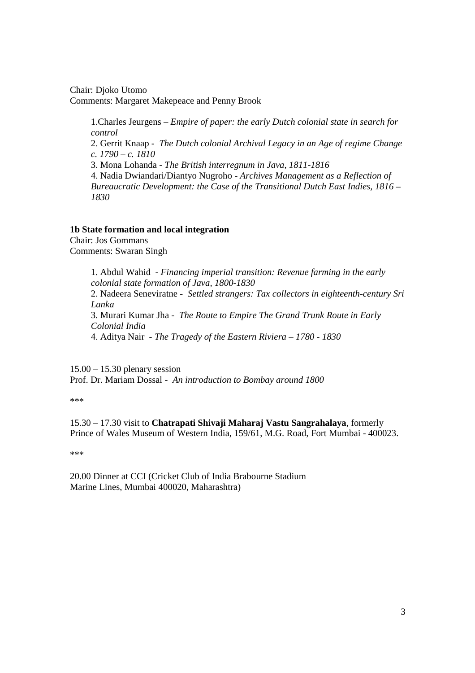Chair: Djoko Utomo Comments: Margaret Makepeace and Penny Brook

> 1.Charles Jeurgens – *Empire of paper: the early Dutch colonial state in search for control*

2. Gerrit Knaap - *The Dutch colonial Archival Legacy in an Age of regime Change c. 1790 – c. 1810* 

3. Mona Lohanda - *The British interregnum in Java, 1811-1816* 

4. Nadia Dwiandari/Diantyo Nugroho - *Archives Management as a Reflection of Bureaucratic Development: the Case of the Transitional Dutch East Indies, 1816 – 1830* 

#### **1b State formation and local integration**

Chair: Jos Gommans Comments: Swaran Singh

> 1. Abdul Wahid - *Financing imperial transition: Revenue farming in the early colonial state formation of Java, 1800-1830* 2. Nadeera Seneviratne - *Settled strangers: Tax collectors in eighteenth-century Sri Lanka*  3. Murari Kumar Jha - *The Route to Empire The Grand Trunk Route in Early Colonial India*  4. Aditya Nair - *The Tragedy of the Eastern Riviera – 1780 - 1830*

15.00 – 15.30 plenary session Prof. Dr. Mariam Dossal - *An introduction to Bombay around 1800*

\*\*\*

15.30 – 17.30 visit to **Chatrapati Shivaji Maharaj Vastu Sangrahalaya**, formerly Prince of Wales Museum of Western India, 159/61, M.G. Road, Fort Mumbai - 400023.

\*\*\*

20.00 Dinner at CCI (Cricket Club of India Brabourne Stadium Marine Lines, Mumbai 400020, Maharashtra)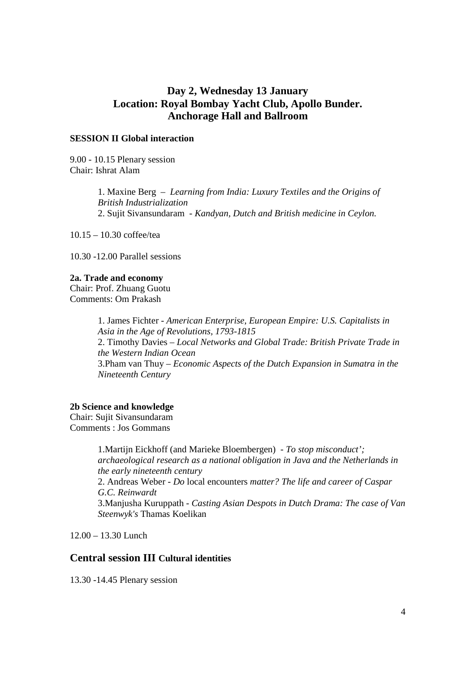# **Day 2, Wednesday 13 January Location: Royal Bombay Yacht Club, Apollo Bunder. Anchorage Hall and Ballroom**

## **SESSION II Global interaction**

9.00 - 10.15 Plenary session Chair: Ishrat Alam

> 1. Maxine Berg – *Learning from India: Luxury Textiles and the Origins of British Industrialization* 2. Sujit Sivansundaram - *Kandyan, Dutch and British medicine in Ceylon.*

10.15 – 10.30 coffee/tea

10.30 -12.00 Parallel sessions

#### **2a. Trade and economy**

Chair: Prof. Zhuang Guotu Comments: Om Prakash

> 1. James Fichter - *American Enterprise, European Empire: U.S. Capitalists in Asia in the Age of Revolutions, 1793-1815* 2. Timothy Davies – *Local Networks and Global Trade: British Private Trade in the Western Indian Ocean* 3.Pham van Thuy – *Economic Aspects of the Dutch Expansion in Sumatra in the Nineteenth Century*

#### **2b Science and knowledge**

Chair: Sujit Sivansundaram Comments : Jos Gommans

> 1.Martijn Eickhoff (and Marieke Bloembergen) - *To stop misconduct'; archaeological research as a national obligation in Java and the Netherlands in the early nineteenth century*  2. Andreas Weber - *Do* local encounters *matter? The life and career of Caspar G.C. Reinwardt*  3.Manjusha Kuruppath - *Casting Asian Despots in Dutch Drama: The case of Van Steenwyk's* Thamas Koelikan

12.00 – 13.30 Lunch

# **Central session III Cultural identities**

13.30 -14.45 Plenary session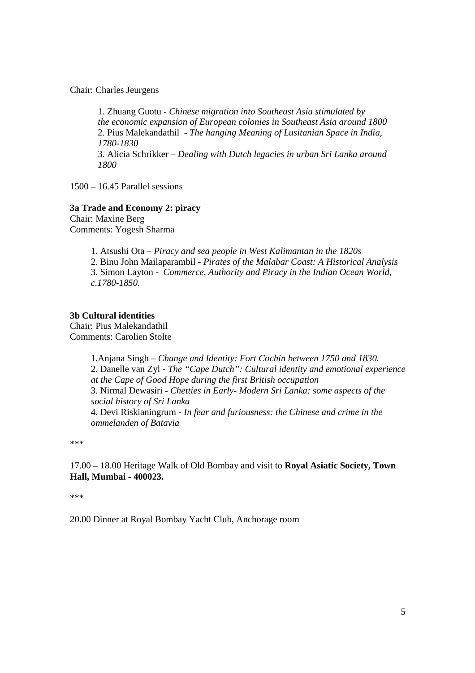Chair: Charles Jeurgens

1. Zhuang Guotu - *Chinese migration into Southeast Asia stimulated by the economic expansion of European colonies in Southeast Asia around 1800* 2. Pius Malekandathil - *The hanging Meaning of Lusitanian Space in India, 1780-1830* 3*.* Alicia Schrikker – *Dealing with Dutch legacies in urban Sri Lanka around 1800* 

1500 – 16.45 Parallel sessions

## **3a Trade and Economy 2: piracy**  Chair: Maxine Berg

Comments: Yogesh Sharma

1. Atsushi Ota – *Piracy and sea people in West Kalimantan in the 1820s*

2. Binu John Mailaparambil - *Pirates of the Malabar Coast: A Historical Analysis*

3. Simon Layton - *Commerce, Authority and Piracy in the Indian Ocean World, c.1780-1850.*

## **3b Cultural identities**

Chair: Pius Malekandathil Comments: Carolien Stolte

> 1.Anjana Singh – *Change and Identity: Fort Cochin between 1750 and 1830.* 2. Danelle van Zyl - *The "Cape Dutch": Cultural identity and emotional experience at the Cape of Good Hope during the first British occupation* 3. Nirmal Dewasiri - *Chetties in Early- Modern Sri Lanka: some aspects of the social history of Sri Lanka* 4. Devi Riskianingrum - *In fear and furiousness: the Chinese and crime in the ommelanden of Batavia*

\*\*\*

17.00 – 18.00 Heritage Walk of Old Bombay and visit to **Royal Asiatic Society, Town Hall, Mumbai - 400023.** 

\*\*\*

20.00 Dinner at Royal Bombay Yacht Club, Anchorage room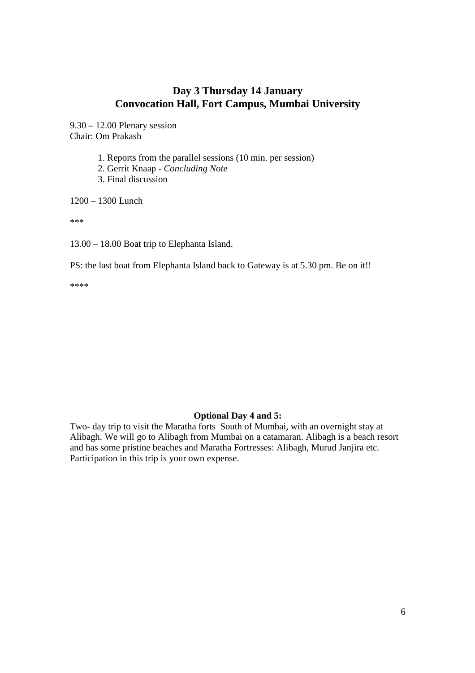# **Day 3 Thursday 14 January Convocation Hall, Fort Campus, Mumbai University**

9.30 – 12.00 Plenary session Chair: Om Prakash

- 1. Reports from the parallel sessions (10 min. per session)
- 2. Gerrit Knaap *Concluding Note*
- 3. Final discussion

1200 – 1300 Lunch

\*\*\*

13.00 – 18.00 Boat trip to Elephanta Island.

PS: the last boat from Elephanta Island back to Gateway is at 5.30 pm. Be on it!!

\*\*\*\*

## **Optional Day 4 and 5:**

Two- day trip to visit the Maratha forts South of Mumbai, with an overnight stay at Alibagh. We will go to Alibagh from Mumbai on a catamaran. Alibagh is a beach resort and has some pristine beaches and Maratha Fortresses: Alibagh, Murud Janjira etc. Participation in this trip is your own expense.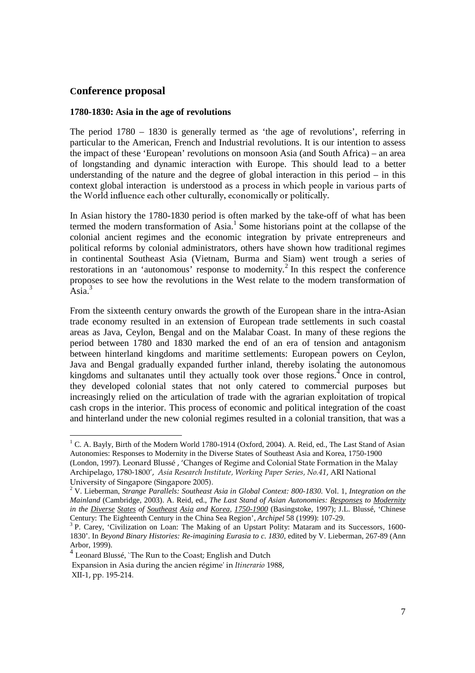# **Conference proposal**

#### **1780-1830: Asia in the age of revolutions**

The period 1780 – 1830 is generally termed as 'the age of revolutions', referring in particular to the American, French and Industrial revolutions. It is our intention to assess the impact of these 'European' revolutions on monsoon Asia (and South Africa) – an area of longstanding and dynamic interaction with Europe. This should lead to a better understanding of the nature and the degree of global interaction in this period  $-$  in this context global interaction is understood as a process in which people in various parts of the World influence each other culturally, economically or politically.

In Asian history the 1780-1830 period is often marked by the take-off of what has been termed the modern transformation of Asia.<sup>1</sup> Some historians point at the collapse of the colonial ancient regimes and the economic integration by private entrepreneurs and political reforms by colonial administrators, others have shown how traditional regimes in continental Southeast Asia (Vietnam, Burma and Siam) went trough a series of restorations in an 'autonomous' response to modernity.<sup>2</sup> In this respect the conference proposes to see how the revolutions in the West relate to the modern transformation of  $\operatorname{Asia.}^3$ 

From the sixteenth century onwards the growth of the European share in the intra-Asian trade economy resulted in an extension of European trade settlements in such coastal areas as Java, Ceylon, Bengal and on the Malabar Coast. In many of these regions the period between 1780 and 1830 marked the end of an era of tension and antagonism between hinterland kingdoms and maritime settlements: European powers on Ceylon, Java and Bengal gradually expanded further inland, thereby isolating the autonomous kingdoms and sultanates until they actually took over those regions.<sup> $4$ </sup> Once in control, they developed colonial states that not only catered to commercial purposes but increasingly relied on the articulation of trade with the agrarian exploitation of tropical cash crops in the interior. This process of economic and political integration of the coast and hinterland under the new colonial regimes resulted in a colonial transition, that was a

<sup>&</sup>lt;sup>1</sup> C. A. Bayly, Birth of the Modern World 1780-1914 (Oxford, 2004). A. Reid, ed., The Last Stand of Asian Autonomies: Responses to Modernity in the Diverse States of Southeast Asia and Korea, 1750-1900

<sup>(</sup>London, 1997). Leonard Blussé , 'Changes of Regime and Colonial State Formation in the Malay Archipelago, 1780-1800', *Asia Research Institute, Working Paper Series, No.41*, ARI National University of Singapore (Singapore 2005).

<sup>2</sup> V. Lieberman, *Strange Parallels: Southeast Asia in Global Context: 800-1830.* Vol. 1, *Integration on the Mainland* (Cambridge, 2003). A. Reid, ed., *The Last Stand of Asian Autonomies: Responses to Modernity in the Diverse States of Southeast Asia and Korea, 1750-1900* (Basingstoke, 1997); J.L. Blussé, 'Chinese Century: The Eighteenth Century in the China Sea Region', *Archipel* 58 (1999): 107-29.

<sup>&</sup>lt;sup>3</sup> P. Carey, 'Civilization on Loan: The Making of an Upstart Polity: Mataram and its Successors, 1600-1830'. In *Beyond Binary Histories: Re-imagining Eurasia to c. 1830*, edited by V. Lieberman, 267-89 (Ann Arbor, 1999).

<sup>&</sup>lt;sup>4</sup> Leonard Blussé, `The Run to the Coast; English and Dutch

Expansion in Asia during the ancien régime' in *Itinerario* 1988, XII-1, pp. 195-214.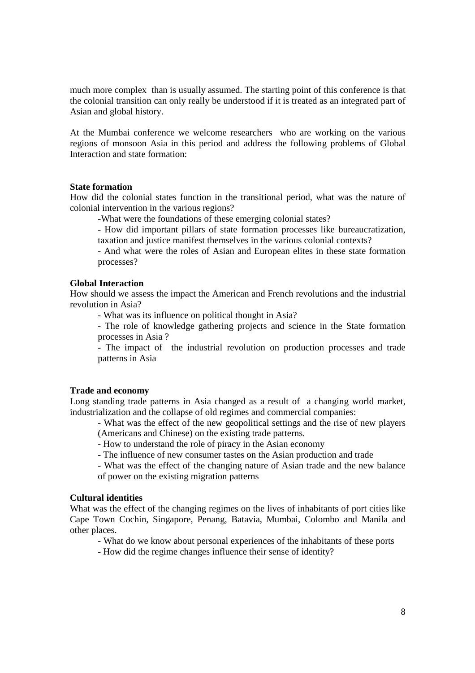much more complex than is usually assumed. The starting point of this conference is that the colonial transition can only really be understood if it is treated as an integrated part of Asian and global history.

At the Mumbai conference we welcome researchers who are working on the various regions of monsoon Asia in this period and address the following problems of Global Interaction and state formation:

#### **State formation**

How did the colonial states function in the transitional period, what was the nature of colonial intervention in the various regions?

-What were the foundations of these emerging colonial states?

- How did important pillars of state formation processes like bureaucratization, taxation and justice manifest themselves in the various colonial contexts?

- And what were the roles of Asian and European elites in these state formation processes?

## **Global Interaction**

How should we assess the impact the American and French revolutions and the industrial revolution in Asia?

- What was its influence on political thought in Asia?

- The role of knowledge gathering projects and science in the State formation processes in Asia ?

- The impact of the industrial revolution on production processes and trade patterns in Asia

#### **Trade and economy**

Long standing trade patterns in Asia changed as a result of a changing world market, industrialization and the collapse of old regimes and commercial companies:

- What was the effect of the new geopolitical settings and the rise of new players (Americans and Chinese) on the existing trade patterns.

- How to understand the role of piracy in the Asian economy

- The influence of new consumer tastes on the Asian production and trade

- What was the effect of the changing nature of Asian trade and the new balance

of power on the existing migration patterns

#### **Cultural identities**

What was the effect of the changing regimes on the lives of inhabitants of port cities like Cape Town Cochin, Singapore, Penang, Batavia, Mumbai, Colombo and Manila and other places.

- What do we know about personal experiences of the inhabitants of these ports

- How did the regime changes influence their sense of identity?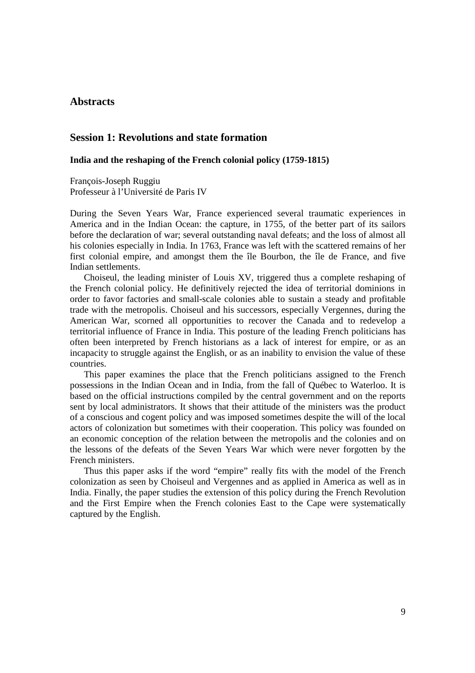# **Abstracts**

## **Session 1: Revolutions and state formation**

#### **India and the reshaping of the French colonial policy (1759-1815)**

François-Joseph Ruggiu Professeur à l'Université de Paris IV

During the Seven Years War, France experienced several traumatic experiences in America and in the Indian Ocean: the capture, in 1755, of the better part of its sailors before the declaration of war; several outstanding naval defeats; and the loss of almost all his colonies especially in India. In 1763, France was left with the scattered remains of her first colonial empire, and amongst them the île Bourbon, the île de France, and five Indian settlements.

Choiseul, the leading minister of Louis XV, triggered thus a complete reshaping of the French colonial policy. He definitively rejected the idea of territorial dominions in order to favor factories and small-scale colonies able to sustain a steady and profitable trade with the metropolis. Choiseul and his successors, especially Vergennes, during the American War, scorned all opportunities to recover the Canada and to redevelop a territorial influence of France in India. This posture of the leading French politicians has often been interpreted by French historians as a lack of interest for empire, or as an incapacity to struggle against the English, or as an inability to envision the value of these countries.

This paper examines the place that the French politicians assigned to the French possessions in the Indian Ocean and in India, from the fall of Québec to Waterloo. It is based on the official instructions compiled by the central government and on the reports sent by local administrators. It shows that their attitude of the ministers was the product of a conscious and cogent policy and was imposed sometimes despite the will of the local actors of colonization but sometimes with their cooperation. This policy was founded on an economic conception of the relation between the metropolis and the colonies and on the lessons of the defeats of the Seven Years War which were never forgotten by the French ministers.

Thus this paper asks if the word "empire" really fits with the model of the French colonization as seen by Choiseul and Vergennes and as applied in America as well as in India. Finally, the paper studies the extension of this policy during the French Revolution and the First Empire when the French colonies East to the Cape were systematically captured by the English.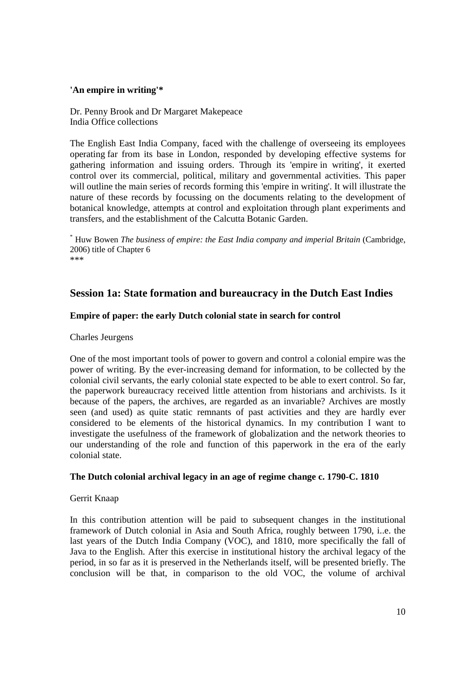# **'An empire in writing'\***

Dr. Penny Brook and Dr Margaret Makepeace India Office collections

The English East India Company, faced with the challenge of overseeing its employees operating far from its base in London, responded by developing effective systems for gathering information and issuing orders. Through its 'empire in writing', it exerted control over its commercial, political, military and governmental activities. This paper will outline the main series of records forming this 'empire in writing'. It will illustrate the nature of these records by focussing on the documents relating to the development of botanical knowledge, attempts at control and exploitation through plant experiments and transfers, and the establishment of the Calcutta Botanic Garden.

\* Huw Bowen *The business of empire: the East India company and imperial Britain* (Cambridge, 2006) title of Chapter 6 \*\*\*

# **Session 1a: State formation and bureaucracy in the Dutch East Indies**

# **Empire of paper: the early Dutch colonial state in search for control**

## Charles Jeurgens

One of the most important tools of power to govern and control a colonial empire was the power of writing. By the ever-increasing demand for information, to be collected by the colonial civil servants, the early colonial state expected to be able to exert control. So far, the paperwork bureaucracy received little attention from historians and archivists. Is it because of the papers, the archives, are regarded as an invariable? Archives are mostly seen (and used) as quite static remnants of past activities and they are hardly ever considered to be elements of the historical dynamics. In my contribution I want to investigate the usefulness of the framework of globalization and the network theories to our understanding of the role and function of this paperwork in the era of the early colonial state.

## **The Dutch colonial archival legacy in an age of regime change c. 1790-C. 1810**

## Gerrit Knaap

In this contribution attention will be paid to subsequent changes in the institutional framework of Dutch colonial in Asia and South Africa, roughly between 1790, i..e. the last years of the Dutch India Company (VOC), and 1810, more specifically the fall of Java to the English. After this exercise in institutional history the archival legacy of the period, in so far as it is preserved in the Netherlands itself, will be presented briefly. The conclusion will be that, in comparison to the old VOC, the volume of archival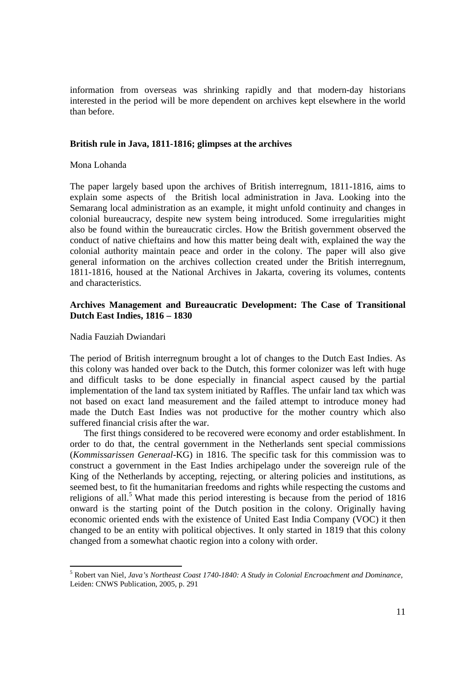information from overseas was shrinking rapidly and that modern-day historians interested in the period will be more dependent on archives kept elsewhere in the world than before.

## **British rule in Java, 1811-1816; glimpses at the archives**

## Mona Lohanda

The paper largely based upon the archives of British interregnum, 1811-1816, aims to explain some aspects of the British local administration in Java. Looking into the Semarang local administration as an example, it might unfold continuity and changes in colonial bureaucracy, despite new system being introduced. Some irregularities might also be found within the bureaucratic circles. How the British government observed the conduct of native chieftains and how this matter being dealt with, explained the way the colonial authority maintain peace and order in the colony. The paper will also give general information on the archives collection created under the British interregnum, 1811-1816, housed at the National Archives in Jakarta, covering its volumes, contents and characteristics.

## **Archives Management and Bureaucratic Development: The Case of Transitional Dutch East Indies, 1816 – 1830**

## Nadia Fauziah Dwiandari

<u>.</u>

The period of British interregnum brought a lot of changes to the Dutch East Indies. As this colony was handed over back to the Dutch, this former colonizer was left with huge and difficult tasks to be done especially in financial aspect caused by the partial implementation of the land tax system initiated by Raffles. The unfair land tax which was not based on exact land measurement and the failed attempt to introduce money had made the Dutch East Indies was not productive for the mother country which also suffered financial crisis after the war.

The first things considered to be recovered were economy and order establishment. In order to do that, the central government in the Netherlands sent special commissions (*Kommissarissen Generaal*-KG) in 1816. The specific task for this commission was to construct a government in the East Indies archipelago under the sovereign rule of the King of the Netherlands by accepting, rejecting, or altering policies and institutions, as seemed best, to fit the humanitarian freedoms and rights while respecting the customs and religions of all.<sup>5</sup> What made this period interesting is because from the period of 1816 onward is the starting point of the Dutch position in the colony. Originally having economic oriented ends with the existence of United East India Company (VOC) it then changed to be an entity with political objectives. It only started in 1819 that this colony changed from a somewhat chaotic region into a colony with order.

<sup>5</sup> Robert van Niel, *Java's Northeast Coast 1740-1840: A Study in Colonial Encroachment and Dominance*, Leiden: CNWS Publication, 2005, p. 291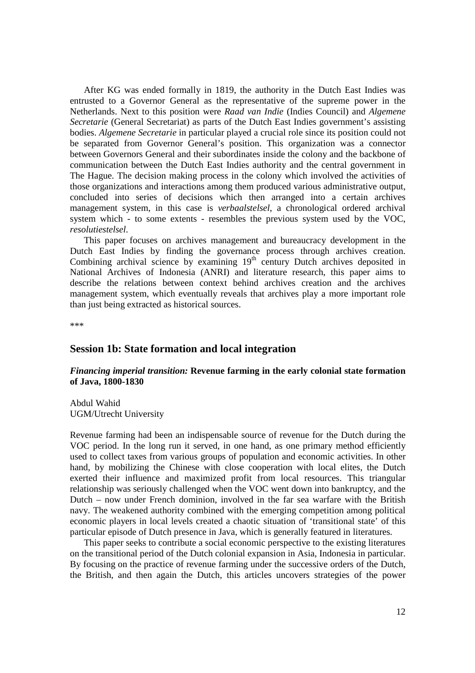After KG was ended formally in 1819, the authority in the Dutch East Indies was entrusted to a Governor General as the representative of the supreme power in the Netherlands. Next to this position were *Raad van Indie* (Indies Council) and *Algemene Secretarie* (General Secretariat) as parts of the Dutch East Indies government's assisting bodies. *Algemene Secretarie* in particular played a crucial role since its position could not be separated from Governor General's position. This organization was a connector between Governors General and their subordinates inside the colony and the backbone of communication between the Dutch East Indies authority and the central government in The Hague. The decision making process in the colony which involved the activities of those organizations and interactions among them produced various administrative output, concluded into series of decisions which then arranged into a certain archives management system, in this case is *verbaalstelsel*, a chronological ordered archival system which - to some extents - resembles the previous system used by the VOC, *resolutiestelsel*.

This paper focuses on archives management and bureaucracy development in the Dutch East Indies by finding the governance process through archives creation. Combining archival science by examining  $19<sup>th</sup>$  century Dutch archives deposited in National Archives of Indonesia (ANRI) and literature research, this paper aims to describe the relations between context behind archives creation and the archives management system, which eventually reveals that archives play a more important role than just being extracted as historical sources.

\*\*\*

## **Session 1b: State formation and local integration**

## *Financing imperial transition:* **Revenue farming in the early colonial state formation of Java, 1800-1830**

Abdul Wahid UGM/Utrecht University

Revenue farming had been an indispensable source of revenue for the Dutch during the VOC period. In the long run it served, in one hand, as one primary method efficiently used to collect taxes from various groups of population and economic activities. In other hand, by mobilizing the Chinese with close cooperation with local elites, the Dutch exerted their influence and maximized profit from local resources. This triangular relationship was seriously challenged when the VOC went down into bankruptcy, and the Dutch – now under French dominion, involved in the far sea warfare with the British navy. The weakened authority combined with the emerging competition among political economic players in local levels created a chaotic situation of 'transitional state' of this particular episode of Dutch presence in Java, which is generally featured in literatures.

This paper seeks to contribute a social economic perspective to the existing literatures on the transitional period of the Dutch colonial expansion in Asia, Indonesia in particular. By focusing on the practice of revenue farming under the successive orders of the Dutch, the British, and then again the Dutch, this articles uncovers strategies of the power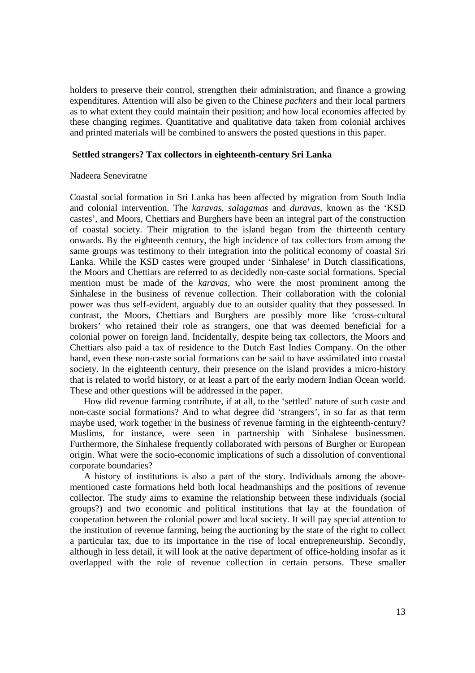holders to preserve their control, strengthen their administration, and finance a growing expenditures. Attention will also be given to the Chinese *pachters* and their local partners as to what extent they could maintain their position; and how local economies affected by these changing regimes. Quantitative and qualitative data taken from colonial archives and printed materials will be combined to answers the posted questions in this paper.

## **Settled strangers? Tax collectors in eighteenth-century Sri Lanka**

#### Nadeera Seneviratne

Coastal social formation in Sri Lanka has been affected by migration from South India and colonial intervention. The *karavas, salagamas* and *duravas,* known as the 'KSD castes', and Moors, Chettiars and Burghers have been an integral part of the construction of coastal society. Their migration to the island began from the thirteenth century onwards. By the eighteenth century, the high incidence of tax collectors from among the same groups was testimony to their integration into the political economy of coastal Sri Lanka. While the KSD castes were grouped under 'Sinhalese' in Dutch classifications, the Moors and Chettiars are referred to as decidedly non-caste social formations. Special mention must be made of the *karavas,* who were the most prominent among the Sinhalese in the business of revenue collection. Their collaboration with the colonial power was thus self-evident, arguably due to an outsider quality that they possessed. In contrast, the Moors, Chettiars and Burghers are possibly more like 'cross-cultural brokers' who retained their role as strangers, one that was deemed beneficial for a colonial power on foreign land. Incidentally, despite being tax collectors, the Moors and Chettiars also paid a tax of residence to the Dutch East Indies Company. On the other hand, even these non-caste social formations can be said to have assimilated into coastal society. In the eighteenth century, their presence on the island provides a micro-history that is related to world history, or at least a part of the early modern Indian Ocean world. These and other questions will be addressed in the paper.

How did revenue farming contribute, if at all, to the 'settled' nature of such caste and non-caste social formations? And to what degree did 'strangers', in so far as that term maybe used, work together in the business of revenue farming in the eighteenth-century? Muslims, for instance, were seen in partnership with Sinhalese businessmen. Furthermore, the Sinhalese frequently collaborated with persons of Burgher or European origin. What were the socio-economic implications of such a dissolution of conventional corporate boundaries?

A history of institutions is also a part of the story. Individuals among the abovementioned caste formations held both local headmanships and the positions of revenue collector. The study aims to examine the relationship between these individuals (social groups?) and two economic and political institutions that lay at the foundation of cooperation between the colonial power and local society. It will pay special attention to the institution of revenue farming, being the auctioning by the state of the right to collect a particular tax, due to its importance in the rise of local entrepreneurship. Secondly, although in less detail, it will look at the native department of office-holding insofar as it overlapped with the role of revenue collection in certain persons. These smaller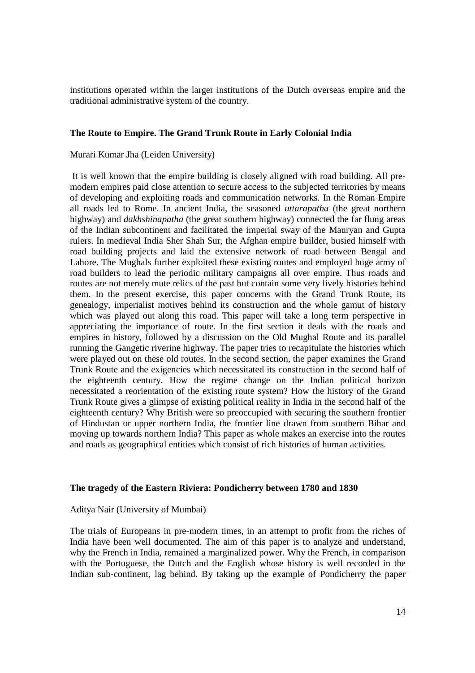institutions operated within the larger institutions of the Dutch overseas empire and the traditional administrative system of the country.

## **The Route to Empire. The Grand Trunk Route in Early Colonial India**

#### Murari Kumar Jha (Leiden University)

 It is well known that the empire building is closely aligned with road building. All premodern empires paid close attention to secure access to the subjected territories by means of developing and exploiting roads and communication networks. In the Roman Empire all roads led to Rome. In ancient India, the seasoned *uttarapatha* (the great northern highway) and *dakhshinapatha* (the great southern highway) connected the far flung areas of the Indian subcontinent and facilitated the imperial sway of the Mauryan and Gupta rulers. In medieval India Sher Shah Sur, the Afghan empire builder, busied himself with road building projects and laid the extensive network of road between Bengal and Lahore. The Mughals further exploited these existing routes and employed huge army of road builders to lead the periodic military campaigns all over empire. Thus roads and routes are not merely mute relics of the past but contain some very lively histories behind them. In the present exercise, this paper concerns with the Grand Trunk Route, its genealogy, imperialist motives behind its construction and the whole gamut of history which was played out along this road. This paper will take a long term perspective in appreciating the importance of route. In the first section it deals with the roads and empires in history, followed by a discussion on the Old Mughal Route and its parallel running the Gangetic riverine highway. The paper tries to recapitulate the histories which were played out on these old routes. In the second section, the paper examines the Grand Trunk Route and the exigencies which necessitated its construction in the second half of the eighteenth century. How the regime change on the Indian political horizon necessitated a reorientation of the existing route system? How the history of the Grand Trunk Route gives a glimpse of existing political reality in India in the second half of the eighteenth century? Why British were so preoccupied with securing the southern frontier of Hindustan or upper northern India, the frontier line drawn from southern Bihar and moving up towards northern India? This paper as whole makes an exercise into the routes and roads as geographical entities which consist of rich histories of human activities.

#### **The tragedy of the Eastern Riviera: Pondicherry between 1780 and 1830**

## Aditya Nair (University of Mumbai)

The trials of Europeans in pre-modern times, in an attempt to profit from the riches of India have been well documented. The aim of this paper is to analyze and understand, why the French in India, remained a marginalized power. Why the French, in comparison with the Portuguese, the Dutch and the English whose history is well recorded in the Indian sub-continent, lag behind. By taking up the example of Pondicherry the paper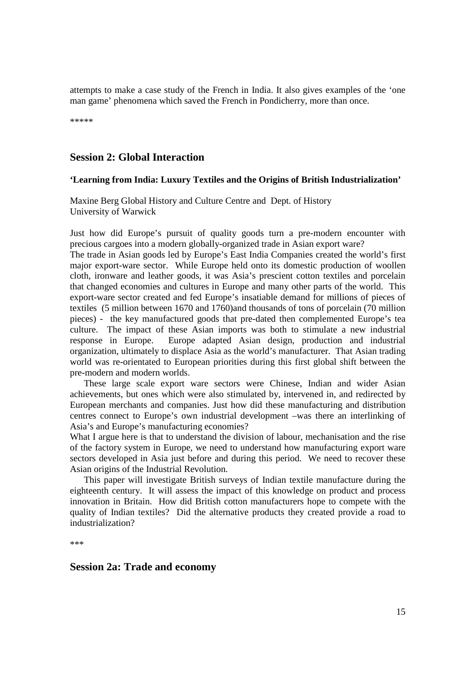attempts to make a case study of the French in India. It also gives examples of the 'one man game' phenomena which saved the French in Pondicherry, more than once.

\*\*\*\*\*

## **Session 2: Global Interaction**

#### **'Learning from India: Luxury Textiles and the Origins of British Industrialization'**

Maxine Berg Global History and Culture Centre and Dept. of History University of Warwick

Just how did Europe's pursuit of quality goods turn a pre-modern encounter with precious cargoes into a modern globally-organized trade in Asian export ware?

The trade in Asian goods led by Europe's East India Companies created the world's first major export-ware sector. While Europe held onto its domestic production of woollen cloth, ironware and leather goods, it was Asia's prescient cotton textiles and porcelain that changed economies and cultures in Europe and many other parts of the world. This export-ware sector created and fed Europe's insatiable demand for millions of pieces of textiles (5 million between 1670 and 1760)and thousands of tons of porcelain (70 million pieces) - the key manufactured goods that pre-dated then complemented Europe's tea culture. The impact of these Asian imports was both to stimulate a new industrial response in Europe. Europe adapted Asian design, production and industrial organization, ultimately to displace Asia as the world's manufacturer. That Asian trading world was re-orientated to European priorities during this first global shift between the pre-modern and modern worlds.

These large scale export ware sectors were Chinese, Indian and wider Asian achievements, but ones which were also stimulated by, intervened in, and redirected by European merchants and companies. Just how did these manufacturing and distribution centres connect to Europe's own industrial development –was there an interlinking of Asia's and Europe's manufacturing economies?

What I argue here is that to understand the division of labour, mechanisation and the rise of the factory system in Europe, we need to understand how manufacturing export ware sectors developed in Asia just before and during this period. We need to recover these Asian origins of the Industrial Revolution.

This paper will investigate British surveys of Indian textile manufacture during the eighteenth century. It will assess the impact of this knowledge on product and process innovation in Britain. How did British cotton manufacturers hope to compete with the quality of Indian textiles? Did the alternative products they created provide a road to industrialization?

\*\*\*

## **Session 2a: Trade and economy**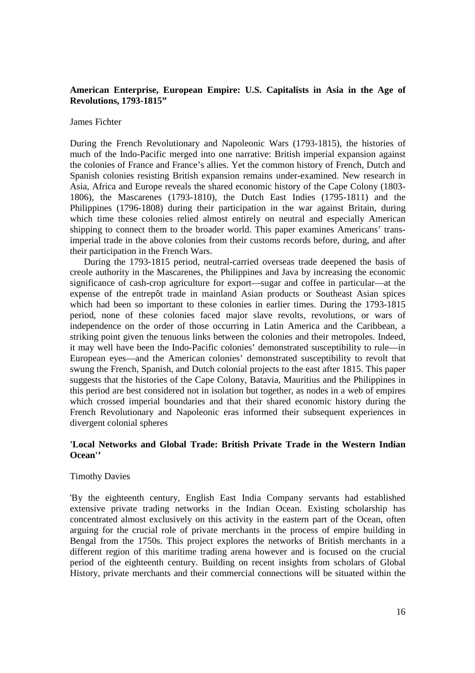## **American Enterprise, European Empire: U.S. Capitalists in Asia in the Age of Revolutions, 1793-1815"**

#### James Fichter

During the French Revolutionary and Napoleonic Wars (1793-1815), the histories of much of the Indo-Pacific merged into one narrative: British imperial expansion against the colonies of France and France's allies. Yet the common history of French, Dutch and Spanish colonies resisting British expansion remains under-examined. New research in Asia, Africa and Europe reveals the shared economic history of the Cape Colony (1803- 1806), the Mascarenes (1793-1810), the Dutch East Indies (1795-1811) and the Philippines (1796-1808) during their participation in the war against Britain, during which time these colonies relied almost entirely on neutral and especially American shipping to connect them to the broader world. This paper examines Americans' transimperial trade in the above colonies from their customs records before, during, and after their participation in the French Wars.

During the 1793-1815 period, neutral-carried overseas trade deepened the basis of creole authority in the Mascarenes, the Philippines and Java by increasing the economic significance of cash-crop agriculture for export—sugar and coffee in particular—at the expense of the entrepôt trade in mainland Asian products or Southeast Asian spices which had been so important to these colonies in earlier times. During the 1793-1815 period, none of these colonies faced major slave revolts, revolutions, or wars of independence on the order of those occurring in Latin America and the Caribbean, a striking point given the tenuous links between the colonies and their metropoles. Indeed, it may well have been the Indo-Pacific colonies' demonstrated susceptibility to rule—in European eyes—and the American colonies' demonstrated susceptibility to revolt that swung the French, Spanish, and Dutch colonial projects to the east after 1815. This paper suggests that the histories of the Cape Colony, Batavia, Mauritius and the Philippines in this period are best considered not in isolation but together, as nodes in a web of empires which crossed imperial boundaries and that their shared economic history during the French Revolutionary and Napoleonic eras informed their subsequent experiences in divergent colonial spheres

## **'Local Networks and Global Trade: British Private Trade in the Western Indian Ocean''**

#### Timothy Davies

'By the eighteenth century, English East India Company servants had established extensive private trading networks in the Indian Ocean. Existing scholarship has concentrated almost exclusively on this activity in the eastern part of the Ocean, often arguing for the crucial role of private merchants in the process of empire building in Bengal from the 1750s. This project explores the networks of British merchants in a different region of this maritime trading arena however and is focused on the crucial period of the eighteenth century. Building on recent insights from scholars of Global History, private merchants and their commercial connections will be situated within the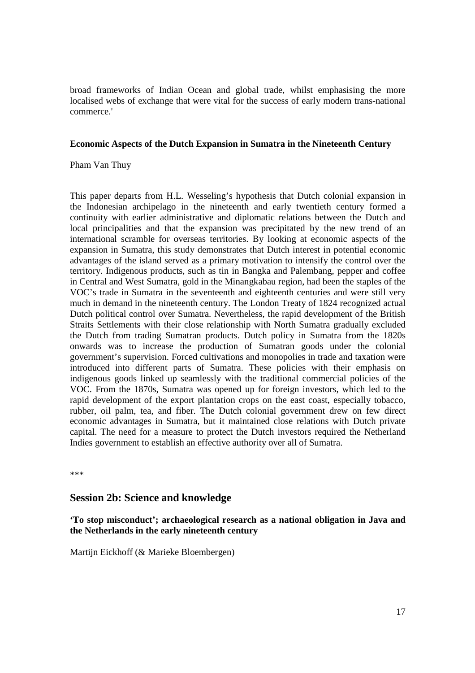broad frameworks of Indian Ocean and global trade, whilst emphasising the more localised webs of exchange that were vital for the success of early modern trans-national commerce.'

## **Economic Aspects of the Dutch Expansion in Sumatra in the Nineteenth Century**

Pham Van Thuy

This paper departs from H.L. Wesseling's hypothesis that Dutch colonial expansion in the Indonesian archipelago in the nineteenth and early twentieth century formed a continuity with earlier administrative and diplomatic relations between the Dutch and local principalities and that the expansion was precipitated by the new trend of an international scramble for overseas territories. By looking at economic aspects of the expansion in Sumatra, this study demonstrates that Dutch interest in potential economic advantages of the island served as a primary motivation to intensify the control over the territory. Indigenous products, such as tin in Bangka and Palembang, pepper and coffee in Central and West Sumatra, gold in the Minangkabau region, had been the staples of the VOC's trade in Sumatra in the seventeenth and eighteenth centuries and were still very much in demand in the nineteenth century. The London Treaty of 1824 recognized actual Dutch political control over Sumatra. Nevertheless, the rapid development of the British Straits Settlements with their close relationship with North Sumatra gradually excluded the Dutch from trading Sumatran products. Dutch policy in Sumatra from the 1820s onwards was to increase the production of Sumatran goods under the colonial government's supervision. Forced cultivations and monopolies in trade and taxation were introduced into different parts of Sumatra. These policies with their emphasis on indigenous goods linked up seamlessly with the traditional commercial policies of the VOC. From the 1870s, Sumatra was opened up for foreign investors, which led to the rapid development of the export plantation crops on the east coast, especially tobacco, rubber, oil palm, tea, and fiber. The Dutch colonial government drew on few direct economic advantages in Sumatra, but it maintained close relations with Dutch private capital. The need for a measure to protect the Dutch investors required the Netherland Indies government to establish an effective authority over all of Sumatra.

\*\*\*

## **Session 2b: Science and knowledge**

**'To stop misconduct'; archaeological research as a national obligation in Java and the Netherlands in the early nineteenth century** 

Martijn Eickhoff (& Marieke Bloembergen)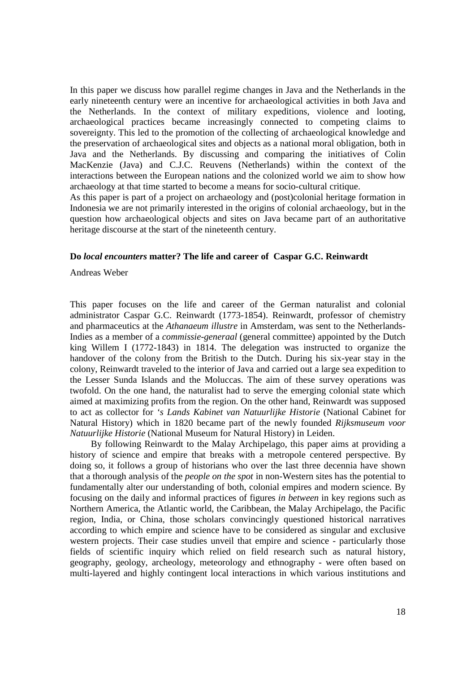In this paper we discuss how parallel regime changes in Java and the Netherlands in the early nineteenth century were an incentive for archaeological activities in both Java and the Netherlands. In the context of military expeditions, violence and looting, archaeological practices became increasingly connected to competing claims to sovereignty. This led to the promotion of the collecting of archaeological knowledge and the preservation of archaeological sites and objects as a national moral obligation, both in Java and the Netherlands. By discussing and comparing the initiatives of Colin MacKenzie (Java) and C.J.C. Reuvens (Netherlands) within the context of the interactions between the European nations and the colonized world we aim to show how archaeology at that time started to become a means for socio-cultural critique.

As this paper is part of a project on archaeology and (post)colonial heritage formation in Indonesia we are not primarily interested in the origins of colonial archaeology, but in the question how archaeological objects and sites on Java became part of an authoritative heritage discourse at the start of the nineteenth century.

#### **Do** *local encounters* **matter? The life and career of Caspar G.C. Reinwardt**

Andreas Weber

This paper focuses on the life and career of the German naturalist and colonial administrator Caspar G.C. Reinwardt (1773-1854). Reinwardt, professor of chemistry and pharmaceutics at the *Athanaeum illustre* in Amsterdam, was sent to the Netherlands-Indies as a member of a *commissie-generaal* (general committee) appointed by the Dutch king Willem I (1772-1843) in 1814. The delegation was instructed to organize the handover of the colony from the British to the Dutch. During his six-year stay in the colony, Reinwardt traveled to the interior of Java and carried out a large sea expedition to the Lesser Sunda Islands and the Moluccas. The aim of these survey operations was twofold. On the one hand, the naturalist had to serve the emerging colonial state which aimed at maximizing profits from the region. On the other hand, Reinwardt was supposed to act as collector for *'s Lands Kabinet van Natuurlijke Historie* (National Cabinet for Natural History) which in 1820 became part of the newly founded *Rijksmuseum voor Natuurlijke Historie* (National Museum for Natural History) in Leiden.

 By following Reinwardt to the Malay Archipelago, this paper aims at providing a history of science and empire that breaks with a metropole centered perspective. By doing so, it follows a group of historians who over the last three decennia have shown that a thorough analysis of the *people on the spot* in non-Western sites has the potential to fundamentally alter our understanding of both, colonial empires and modern science. By focusing on the daily and informal practices of figures *in between* in key regions such as Northern America, the Atlantic world, the Caribbean, the Malay Archipelago, the Pacific region, India, or China, those scholars convincingly questioned historical narratives according to which empire and science have to be considered as singular and exclusive western projects. Their case studies unveil that empire and science - particularly those fields of scientific inquiry which relied on field research such as natural history, geography, geology, archeology, meteorology and ethnography - were often based on multi-layered and highly contingent local interactions in which various institutions and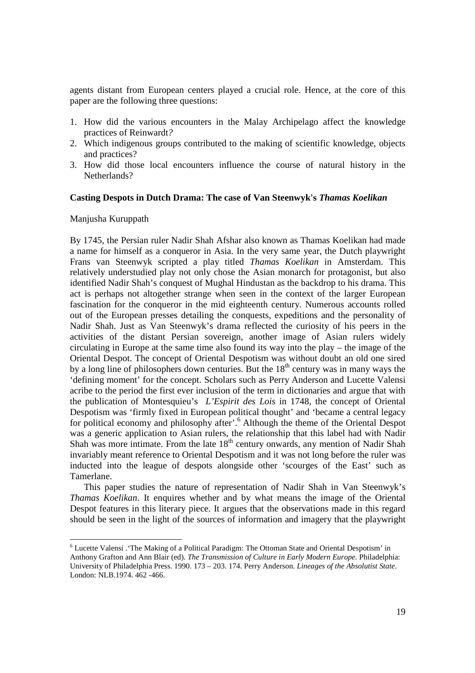agents distant from European centers played a crucial role. Hence, at the core of this paper are the following three questions:

- 1. How did the various encounters in the Malay Archipelago affect the knowledge practices of Reinwardt*?*
- 2. Which indigenous groups contributed to the making of scientific knowledge, objects and practices?
- 3. How did those local encounters influence the course of natural history in the Netherlands?

#### **Casting Despots in Dutch Drama: The case of Van Steenwyk's** *Thamas Koelikan*

#### Manjusha Kuruppath

-

By 1745, the Persian ruler Nadir Shah Afshar also known as Thamas Koelikan had made a name for himself as a conqueror in Asia. In the very same year, the Dutch playwright Frans van Steenwyk scripted a play titled *Thamas Koelikan* in Amsterdam. This relatively understudied play not only chose the Asian monarch for protagonist, but also identified Nadir Shah's conquest of Mughal Hindustan as the backdrop to his drama. This act is perhaps not altogether strange when seen in the context of the larger European fascination for the conqueror in the mid eighteenth century. Numerous accounts rolled out of the European presses detailing the conquests, expeditions and the personality of Nadir Shah. Just as Van Steenwyk's drama reflected the curiosity of his peers in the activities of the distant Persian sovereign, another image of Asian rulers widely circulating in Europe at the same time also found its way into the play – the image of the Oriental Despot. The concept of Oriental Despotism was without doubt an old one sired by a long line of philosophers down centuries. But the  $18<sup>th</sup>$  century was in many ways the 'defining moment' for the concept. Scholars such as Perry Anderson and Lucette Valensi acribe to the period the first ever inclusion of the term in dictionaries and argue that with the publication of Montesquieu's *L'Espirit des Lois* in 1748, the concept of Oriental Despotism was 'firmly fixed in European political thought' and 'became a central legacy for political economy and philosophy after'.<sup>6</sup> Although the theme of the Oriental Despot was a generic application to Asian rulers, the relationship that this label had with Nadir Shah was more intimate. From the late  $18<sup>th</sup>$  century onwards, any mention of Nadir Shah invariably meant reference to Oriental Despotism and it was not long before the ruler was inducted into the league of despots alongside other 'scourges of the East' such as Tamerlane.

This paper studies the nature of representation of Nadir Shah in Van Steenwyk's *Thamas Koelikan*. It enquires whether and by what means the image of the Oriental Despot features in this literary piece. It argues that the observations made in this regard should be seen in the light of the sources of information and imagery that the playwright

<sup>&</sup>lt;sup>6</sup> Lucette Valensi . 'The Making of a Political Paradigm: The Ottoman State and Oriental Despotism' in Anthony Grafton and Ann Blair (ed). *The Transmission of Culture in Early Modern Europe.* Philadelphia: University of Philadelphia Press. 1990. 173 – 203. 174. Perry Anderson. *Lineages of the Absolutist State*. London: NLB.1974. 462 -466.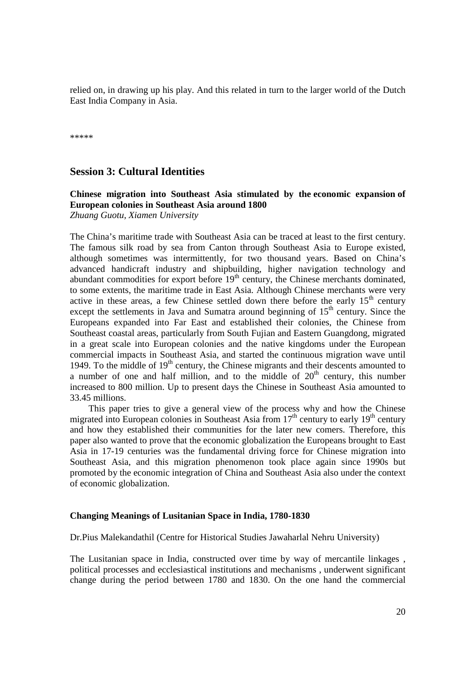relied on, in drawing up his play. And this related in turn to the larger world of the Dutch East India Company in Asia.

\*\*\*\*\*

# **Session 3: Cultural Identities**

# **Chinese migration into Southeast Asia stimulated by the economic expansion of European colonies in Southeast Asia around 1800**

*Zhuang Guotu, Xiamen University* 

The China's maritime trade with Southeast Asia can be traced at least to the first century. The famous silk road by sea from Canton through Southeast Asia to Europe existed, although sometimes was intermittently, for two thousand years. Based on China's advanced handicraft industry and shipbuilding, higher navigation technology and abundant commodities for export before  $19<sup>th</sup>$  century, the Chinese merchants dominated, to some extents, the maritime trade in East Asia. Although Chinese merchants were very active in these areas, a few Chinese settled down there before the early  $15<sup>th</sup>$  century except the settlements in Java and Sumatra around beginning of  $15<sup>th</sup>$  century. Since the Europeans expanded into Far East and established their colonies, the Chinese from Southeast coastal areas, particularly from South Fujian and Eastern Guangdong, migrated in a great scale into European colonies and the native kingdoms under the European commercial impacts in Southeast Asia, and started the continuous migration wave until 1949. To the middle of  $19<sup>th</sup>$  century, the Chinese migrants and their descents amounted to a number of one and half million, and to the middle of  $20<sup>th</sup>$  century, this number increased to 800 million. Up to present days the Chinese in Southeast Asia amounted to 33.45 millions.

This paper tries to give a general view of the process why and how the Chinese migrated into European colonies in Southeast Asia from  $17<sup>th</sup>$  century to early  $19<sup>th</sup>$  century and how they established their communities for the later new comers. Therefore, this paper also wanted to prove that the economic globalization the Europeans brought to East Asia in 17-19 centuries was the fundamental driving force for Chinese migration into Southeast Asia, and this migration phenomenon took place again since 1990s but promoted by the economic integration of China and Southeast Asia also under the context of economic globalization.

#### **Changing Meanings of Lusitanian Space in India, 1780-1830**

Dr.Pius Malekandathil (Centre for Historical Studies Jawaharlal Nehru University)

The Lusitanian space in India, constructed over time by way of mercantile linkages , political processes and ecclesiastical institutions and mechanisms , underwent significant change during the period between 1780 and 1830. On the one hand the commercial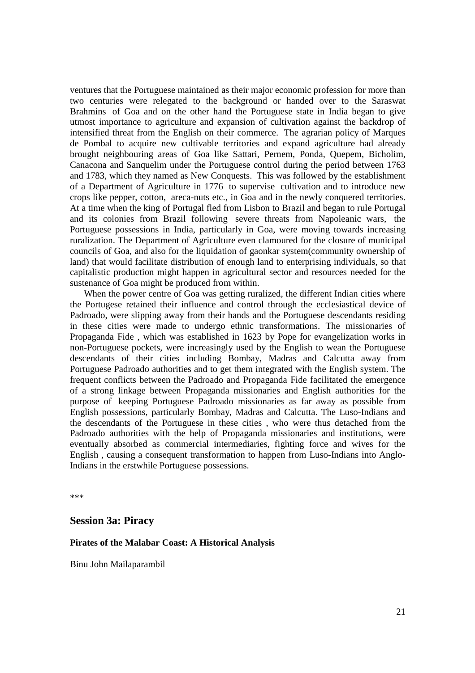ventures that the Portuguese maintained as their major economic profession for more than two centuries were relegated to the background or handed over to the Saraswat Brahmins of Goa and on the other hand the Portuguese state in India began to give utmost importance to agriculture and expansion of cultivation against the backdrop of intensified threat from the English on their commerce. The agrarian policy of Marques de Pombal to acquire new cultivable territories and expand agriculture had already brought neighbouring areas of Goa like Sattari, Pernem, Ponda, Quepem, Bicholim, Canacona and Sanquelim under the Portuguese control during the period between 1763 and 1783, which they named as New Conquests. This was followed by the establishment of a Department of Agriculture in 1776 to supervise cultivation and to introduce new crops like pepper, cotton, areca-nuts etc., in Goa and in the newly conquered territories. At a time when the king of Portugal fled from Lisbon to Brazil and began to rule Portugal and its colonies from Brazil following severe threats from Napoleanic wars, the Portuguese possessions in India, particularly in Goa, were moving towards increasing ruralization. The Department of Agriculture even clamoured for the closure of municipal councils of Goa, and also for the liquidation of gaonkar system(community ownership of land) that would facilitate distribution of enough land to enterprising individuals, so that capitalistic production might happen in agricultural sector and resources needed for the sustenance of Goa might be produced from within.

When the power centre of Goa was getting ruralized, the different Indian cities where the Portugese retained their influence and control through the ecclesiastical device of Padroado, were slipping away from their hands and the Portuguese descendants residing in these cities were made to undergo ethnic transformations. The missionaries of Propaganda Fide , which was established in 1623 by Pope for evangelization works in non-Portuguese pockets, were increasingly used by the English to wean the Portuguese descendants of their cities including Bombay, Madras and Calcutta away from Portuguese Padroado authorities and to get them integrated with the English system. The frequent conflicts between the Padroado and Propaganda Fide facilitated the emergence of a strong linkage between Propaganda missionaries and English authorities for the purpose of keeping Portuguese Padroado missionaries as far away as possible from English possessions, particularly Bombay, Madras and Calcutta. The Luso-Indians and the descendants of the Portuguese in these cities , who were thus detached from the Padroado authorities with the help of Propaganda missionaries and institutions, were eventually absorbed as commercial intermediaries, fighting force and wives for the English , causing a consequent transformation to happen from Luso-Indians into Anglo-Indians in the erstwhile Portuguese possessions.

\*\*\*

## **Session 3a: Piracy**

#### **Pirates of the Malabar Coast: A Historical Analysis**

Binu John Mailaparambil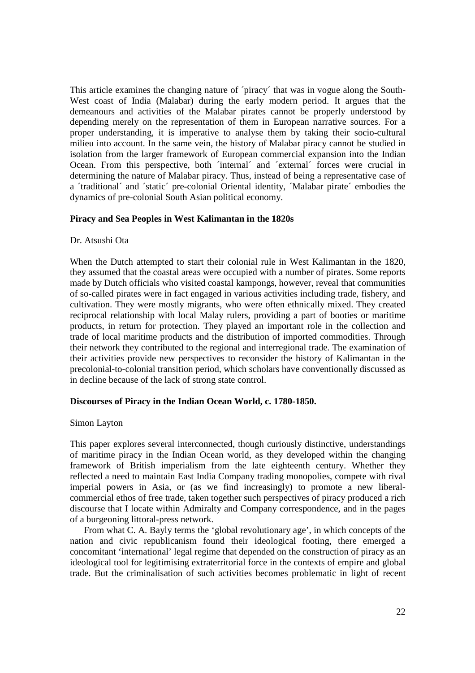This article examines the changing nature of 'piracy' that was in vogue along the South-West coast of India (Malabar) during the early modern period. It argues that the demeanours and activities of the Malabar pirates cannot be properly understood by depending merely on the representation of them in European narrative sources. For a proper understanding, it is imperative to analyse them by taking their socio-cultural milieu into account. In the same vein, the history of Malabar piracy cannot be studied in isolation from the larger framework of European commercial expansion into the Indian Ocean. From this perspective, both ´internal´ and ´external´ forces were crucial in determining the nature of Malabar piracy. Thus, instead of being a representative case of a ´traditional´ and ´static´ pre-colonial Oriental identity, ´Malabar pirate´ embodies the dynamics of pre-colonial South Asian political economy.

## **Piracy and Sea Peoples in West Kalimantan in the 1820s**

#### Dr. Atsushi Ota

When the Dutch attempted to start their colonial rule in West Kalimantan in the 1820, they assumed that the coastal areas were occupied with a number of pirates. Some reports made by Dutch officials who visited coastal kampongs, however, reveal that communities of so-called pirates were in fact engaged in various activities including trade, fishery, and cultivation. They were mostly migrants, who were often ethnically mixed. They created reciprocal relationship with local Malay rulers, providing a part of booties or maritime products, in return for protection. They played an important role in the collection and trade of local maritime products and the distribution of imported commodities. Through their network they contributed to the regional and interregional trade. The examination of their activities provide new perspectives to reconsider the history of Kalimantan in the precolonial-to-colonial transition period, which scholars have conventionally discussed as in decline because of the lack of strong state control.

#### **Discourses of Piracy in the Indian Ocean World, c. 1780-1850.**

#### Simon Layton

This paper explores several interconnected, though curiously distinctive, understandings of maritime piracy in the Indian Ocean world, as they developed within the changing framework of British imperialism from the late eighteenth century. Whether they reflected a need to maintain East India Company trading monopolies, compete with rival imperial powers in Asia, or (as we find increasingly) to promote a new liberalcommercial ethos of free trade, taken together such perspectives of piracy produced a rich discourse that I locate within Admiralty and Company correspondence, and in the pages of a burgeoning littoral-press network.

From what C. A. Bayly terms the 'global revolutionary age', in which concepts of the nation and civic republicanism found their ideological footing, there emerged a concomitant 'international' legal regime that depended on the construction of piracy as an ideological tool for legitimising extraterritorial force in the contexts of empire and global trade. But the criminalisation of such activities becomes problematic in light of recent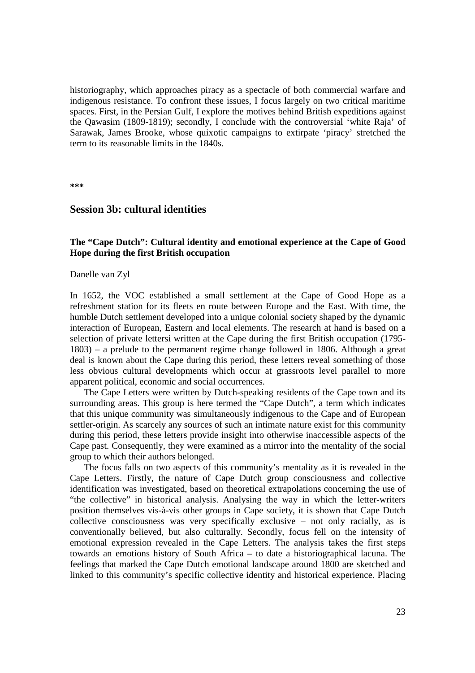historiography, which approaches piracy as a spectacle of both commercial warfare and indigenous resistance. To confront these issues, I focus largely on two critical maritime spaces. First, in the Persian Gulf, I explore the motives behind British expeditions against the Qawasim (1809-1819); secondly, I conclude with the controversial 'white Raja' of Sarawak, James Brooke, whose quixotic campaigns to extirpate 'piracy' stretched the term to its reasonable limits in the 1840s.

**\*\*\*** 

## **Session 3b: cultural identities**

## **The "Cape Dutch": Cultural identity and emotional experience at the Cape of Good Hope during the first British occupation**

Danelle van Zyl

In 1652, the VOC established a small settlement at the Cape of Good Hope as a refreshment station for its fleets en route between Europe and the East. With time, the humble Dutch settlement developed into a unique colonial society shaped by the dynamic interaction of European, Eastern and local elements. The research at hand is based on a selection of private lettersi written at the Cape during the first British occupation (1795- 1803) – a prelude to the permanent regime change followed in 1806. Although a great deal is known about the Cape during this period, these letters reveal something of those less obvious cultural developments which occur at grassroots level parallel to more apparent political, economic and social occurrences.

The Cape Letters were written by Dutch-speaking residents of the Cape town and its surrounding areas. This group is here termed the "Cape Dutch", a term which indicates that this unique community was simultaneously indigenous to the Cape and of European settler-origin. As scarcely any sources of such an intimate nature exist for this community during this period, these letters provide insight into otherwise inaccessible aspects of the Cape past. Consequently, they were examined as a mirror into the mentality of the social group to which their authors belonged.

The focus falls on two aspects of this community's mentality as it is revealed in the Cape Letters. Firstly, the nature of Cape Dutch group consciousness and collective identification was investigated, based on theoretical extrapolations concerning the use of "the collective" in historical analysis. Analysing the way in which the letter-writers position themselves vis-à-vis other groups in Cape society, it is shown that Cape Dutch collective consciousness was very specifically exclusive – not only racially, as is conventionally believed, but also culturally. Secondly, focus fell on the intensity of emotional expression revealed in the Cape Letters. The analysis takes the first steps towards an emotions history of South Africa – to date a historiographical lacuna. The feelings that marked the Cape Dutch emotional landscape around 1800 are sketched and linked to this community's specific collective identity and historical experience. Placing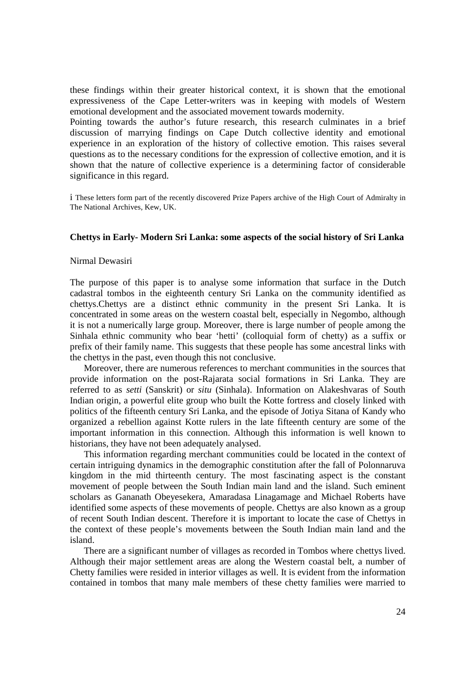these findings within their greater historical context, it is shown that the emotional expressiveness of the Cape Letter-writers was in keeping with models of Western emotional development and the associated movement towards modernity.

Pointing towards the author's future research, this research culminates in a brief discussion of marrying findings on Cape Dutch collective identity and emotional experience in an exploration of the history of collective emotion. This raises several questions as to the necessary conditions for the expression of collective emotion, and it is shown that the nature of collective experience is a determining factor of considerable significance in this regard.

i These letters form part of the recently discovered Prize Papers archive of the High Court of Admiralty in The National Archives, Kew, UK.

#### **Chettys in Early- Modern Sri Lanka: some aspects of the social history of Sri Lanka**

#### Nirmal Dewasiri

The purpose of this paper is to analyse some information that surface in the Dutch cadastral tombos in the eighteenth century Sri Lanka on the community identified as chettys.Chettys are a distinct ethnic community in the present Sri Lanka. It is concentrated in some areas on the western coastal belt, especially in Negombo, although it is not a numerically large group. Moreover, there is large number of people among the Sinhala ethnic community who bear 'hetti' (colloquial form of chetty) as a suffix or prefix of their family name. This suggests that these people has some ancestral links with the chettys in the past, even though this not conclusive.

Moreover, there are numerous references to merchant communities in the sources that provide information on the post-Rajarata social formations in Sri Lanka. They are referred to as *setti* (Sanskrit) or *situ* (Sinhala). Information on Alakeshvaras of South Indian origin, a powerful elite group who built the Kotte fortress and closely linked with politics of the fifteenth century Sri Lanka, and the episode of Jotiya Sitana of Kandy who organized a rebellion against Kotte rulers in the late fifteenth century are some of the important information in this connection. Although this information is well known to historians, they have not been adequately analysed.

This information regarding merchant communities could be located in the context of certain intriguing dynamics in the demographic constitution after the fall of Polonnaruva kingdom in the mid thirteenth century. The most fascinating aspect is the constant movement of people between the South Indian main land and the island. Such eminent scholars as Gananath Obeyesekera, Amaradasa Linagamage and Michael Roberts have identified some aspects of these movements of people. Chettys are also known as a group of recent South Indian descent. Therefore it is important to locate the case of Chettys in the context of these people's movements between the South Indian main land and the island.

There are a significant number of villages as recorded in Tombos where chettys lived. Although their major settlement areas are along the Western coastal belt, a number of Chetty families were resided in interior villages as well. It is evident from the information contained in tombos that many male members of these chetty families were married to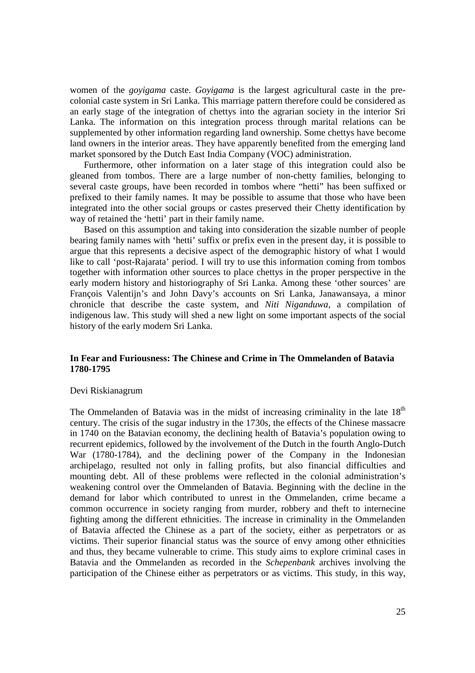women of the *goyigama* caste. *Goyigama* is the largest agricultural caste in the precolonial caste system in Sri Lanka. This marriage pattern therefore could be considered as an early stage of the integration of chettys into the agrarian society in the interior Sri Lanka. The information on this integration process through marital relations can be supplemented by other information regarding land ownership. Some chettys have become land owners in the interior areas. They have apparently benefited from the emerging land market sponsored by the Dutch East India Company (VOC) administration.

Furthermore, other information on a later stage of this integration could also be gleaned from tombos. There are a large number of non-chetty families, belonging to several caste groups, have been recorded in tombos where "hetti" has been suffixed or prefixed to their family names. It may be possible to assume that those who have been integrated into the other social groups or castes preserved their Chetty identification by way of retained the 'hetti' part in their family name.

Based on this assumption and taking into consideration the sizable number of people bearing family names with 'hetti' suffix or prefix even in the present day, it is possible to argue that this represents a decisive aspect of the demographic history of what I would like to call 'post-Rajarata' period. I will try to use this information coming from tombos together with information other sources to place chettys in the proper perspective in the early modern history and historiography of Sri Lanka. Among these 'other sources' are François Valentijn's and John Davy's accounts on Sri Lanka, Janawansaya, a minor chronicle that describe the caste system, and *Niti Niganduwa*, a compilation of indigenous law. This study will shed a new light on some important aspects of the social history of the early modern Sri Lanka.

## **In Fear and Furiousness: The Chinese and Crime in The Ommelanden of Batavia 1780-1795**

#### Devi Riskianagrum

The Ommelanden of Batavia was in the midst of increasing criminality in the late  $18<sup>th</sup>$ century. The crisis of the sugar industry in the 1730s, the effects of the Chinese massacre in 1740 on the Batavian economy, the declining health of Batavia's population owing to recurrent epidemics, followed by the involvement of the Dutch in the fourth Anglo-Dutch War (1780-1784), and the declining power of the Company in the Indonesian archipelago, resulted not only in falling profits, but also financial difficulties and mounting debt. All of these problems were reflected in the colonial administration's weakening control over the Ommelanden of Batavia. Beginning with the decline in the demand for labor which contributed to unrest in the Ommelanden, crime became a common occurrence in society ranging from murder, robbery and theft to internecine fighting among the different ethnicities. The increase in criminality in the Ommelanden of Batavia affected the Chinese as a part of the society, either as perpetrators or as victims. Their superior financial status was the source of envy among other ethnicities and thus, they became vulnerable to crime. This study aims to explore criminal cases in Batavia and the Ommelanden as recorded in the *Schepenbank* archives involving the participation of the Chinese either as perpetrators or as victims. This study, in this way,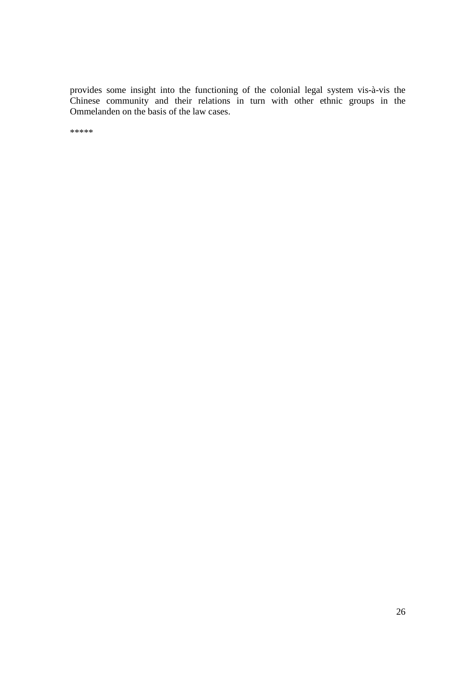provides some insight into the functioning of the colonial legal system vis-à-vis the Chinese community and their relations in turn with other ethnic groups in the Ommelanden on the basis of the law cases.

\*\*\*\*\*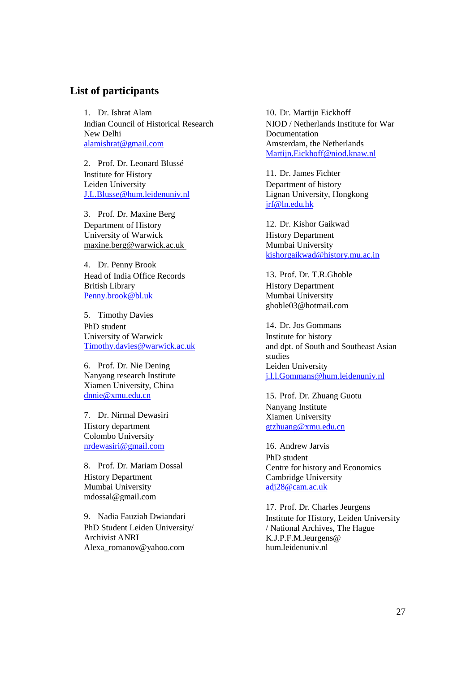# **List of participants**

1. Dr. Ishrat Alam Indian Council of Historical Research New Delhi alamishrat@gmail.com

2. Prof. Dr. Leonard Blussé Institute for History Leiden University J.L.Blusse@hum.leidenuniv.nl

3. Prof. Dr. Maxine Berg Department of History University of Warwick maxine.berg@warwick.ac.uk

4. Dr. Penny Brook Head of India Office Records British Library Penny.brook@bl.uk

5. Timothy Davies PhD student University of Warwick Timothy.davies@warwick.ac.uk

6. Prof. Dr. Nie Dening Nanyang research Institute Xiamen University, China dnnie@xmu.edu.cn

7. Dr. Nirmal Dewasiri History department Colombo University nrdewasiri@gmail.com

8. Prof. Dr. Mariam Dossal History Department Mumbai University mdossal@gmail.com

9. Nadia Fauziah Dwiandari PhD Student Leiden University/ Archivist ANRI Alexa\_romanov@yahoo.com

10. Dr. Martijn Eickhoff NIOD / Netherlands Institute for War Documentation Amsterdam, the Netherlands Martijn.Eickhoff@niod.knaw.nl

11. Dr. James Fichter Department of history Lignan University, Hongkong jrf@ln.edu.hk

12. Dr. Kishor Gaikwad History Department Mumbai University kishorgaikwad@history.mu.ac.in

13. Prof. Dr. T.R.Ghoble History Department Mumbai University ghoble03@hotmail.com

14. Dr. Jos Gommans Institute for history and dpt. of South and Southeast Asian studies Leiden University j.l.l.Gommans@hum.leidenuniv.nl

15. Prof. Dr. Zhuang Guotu Nanyang Institute Xiamen University gtzhuang@xmu.edu.cn

16. Andrew Jarvis PhD student Centre for history and Economics Cambridge University adj28@cam.ac.uk

17. Prof. Dr. Charles Jeurgens Institute for History, Leiden University / National Archives, The Hague K.J.P.F.M.Jeurgens@ hum.leidenuniv.nl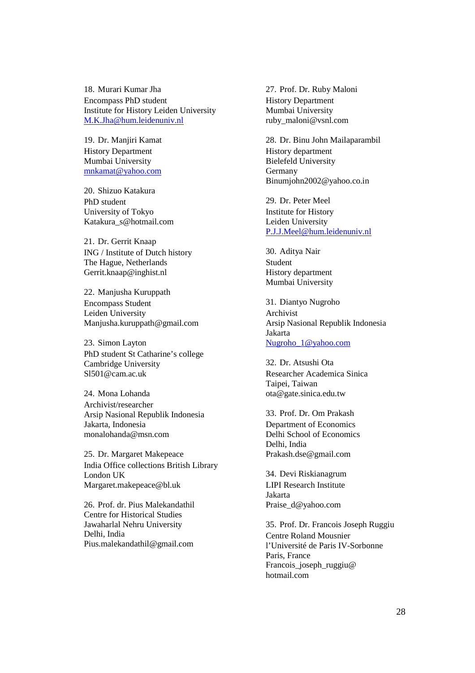18. Murari Kumar Jha Encompass PhD student Institute for History Leiden University M.K.Jha@hum.leidenuniv.nl

19. Dr. Manjiri Kamat History Department Mumbai University mnkamat@yahoo.com

20. Shizuo Katakura PhD student University of Tokyo Katakura\_s@hotmail.com

21. Dr. Gerrit Knaap ING / Institute of Dutch history The Hague, Netherlands Gerrit.knaap@inghist.nl

22. Manjusha Kuruppath Encompass Student Leiden University Manjusha.kuruppath@gmail.com

23. Simon Layton PhD student St Catharine's college Cambridge University Sl501@cam.ac.uk

24. Mona Lohanda Archivist/researcher Arsip Nasional Republik Indonesia Jakarta, Indonesia monalohanda@msn.com

25. Dr. Margaret Makepeace India Office collections British Library London UK Margaret.makepeace@bl.uk

26. Prof. dr. Pius Malekandathil Centre for Historical Studies Jawaharlal Nehru University Delhi, India Pius.malekandathil@gmail.com

27. Prof. Dr. Ruby Maloni History Department Mumbai University ruby\_maloni@vsnl.com

28. Dr. Binu John Mailaparambil History department Bielefeld University Germany Binumjohn2002@yahoo.co.in

29. Dr. Peter Meel Institute for History Leiden University P.J.J.Meel@hum.leidenuniv.nl

30. Aditya Nair Student History department Mumbai University

31. Diantyo Nugroho Archivist Arsip Nasional Republik Indonesia Jakarta Nugroho\_1@yahoo.com

32. Dr. Atsushi Ota Researcher Academica Sinica Taipei, Taiwan ota@gate.sinica.edu.tw

33. Prof. Dr. Om Prakash Department of Economics Delhi School of Economics Delhi, India Prakash.dse@gmail.com

34. Devi Riskianagrum LIPI Research Institute Jakarta Praise\_d@yahoo.com

35. Prof. Dr. Francois Joseph Ruggiu Centre Roland Mousnier l'Université de Paris IV-Sorbonne Paris, France Francois joseph ruggiu@ hotmail.com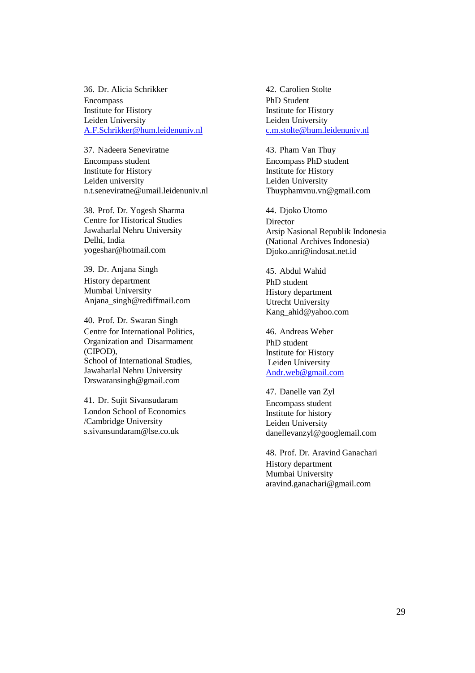36. Dr. Alicia Schrikker Encompass Institute for History Leiden University A.F.Schrikker@hum.leidenuniv.nl

37. Nadeera Seneviratne Encompass student Institute for History Leiden university n.t.seneviratne@umail.leidenuniv.nl

38. Prof. Dr. Yogesh Sharma Centre for Historical Studies Jawaharlal Nehru University Delhi, India yogeshar@hotmail.com

39. Dr. Anjana Singh History department Mumbai University Anjana\_singh@rediffmail.com

40. Prof. Dr. Swaran Singh Centre for International Politics, Organization and Disarmament (CIPOD), School of International Studies, Jawaharlal Nehru University Drswaransingh@gmail.com

41. Dr. Sujit Sivansudaram London School of Economics /Cambridge University s.sivansundaram@lse.co.uk

42. Carolien Stolte PhD Student Institute for History Leiden University c.m.stolte@hum.leidenuniv.nl

43. Pham Van Thuy Encompass PhD student Institute for History Leiden University Thuyphamvnu.vn@gmail.com

44. Djoko Utomo **Director** Arsip Nasional Republik Indonesia (National Archives Indonesia) Djoko.anri@indosat.net.id

45. Abdul Wahid PhD student History department Utrecht University Kang\_ahid@yahoo.com

46. Andreas Weber PhD student Institute for History Leiden University Andr.web@gmail.com

47. Danelle van Zyl Encompass student Institute for history Leiden University danellevanzyl@googlemail.com

48. Prof. Dr. Aravind Ganachari History department Mumbai University aravind.ganachari@gmail.com